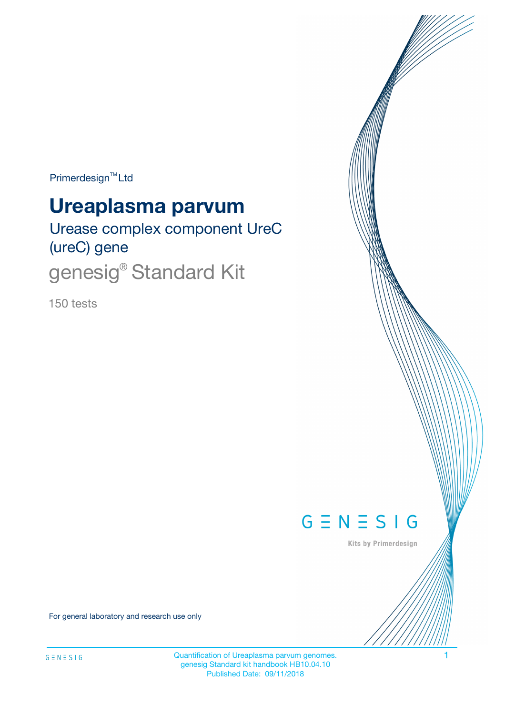Primerdesign<sup>™</sup>Ltd

# **Ureaplasma parvum**

Urease complex component UreC (ureC) gene genesig<sup>®</sup> Standard Kit

150 tests



Kits by Primerdesign

For general laboratory and research use only

Quantification of Ureaplasma parvum genomes. 1 genesig Standard kit handbook HB10.04.10 Published Date: 09/11/2018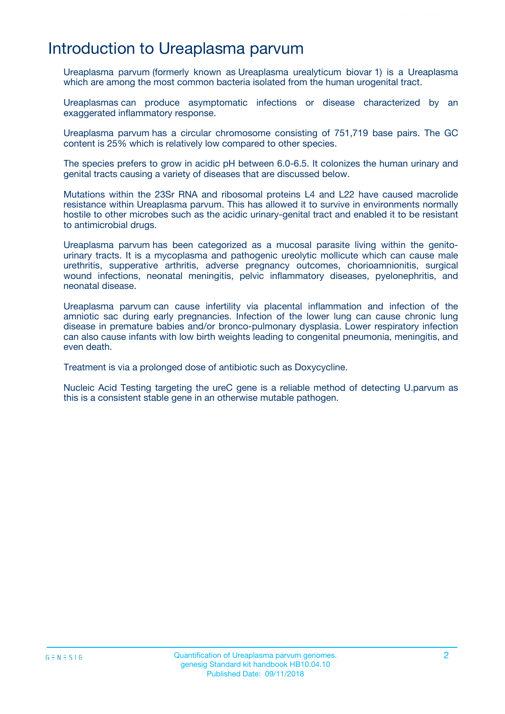## Introduction to Ureaplasma parvum

Ureaplasma parvum (formerly known as Ureaplasma urealyticum biovar 1) is a Ureaplasma which are among the most common bacteria isolated from the human urogenital tract.

Ureaplasmas can produce asymptomatic infections or disease characterized by an exaggerated inflammatory response.

Ureaplasma parvum has a circular chromosome consisting of 751,719 base pairs. The GC content is 25% which is relatively low compared to other species.

The species prefers to grow in acidic pH between 6.0-6.5. It colonizes the human urinary and genital tracts causing a variety of diseases that are discussed below.

Mutations within the 23Sr RNA and ribosomal proteins L4 and L22 have caused macrolide resistance within Ureaplasma parvum. This has allowed it to survive in environments normally hostile to other microbes such as the acidic urinary-genital tract and enabled it to be resistant to antimicrobial drugs.

Ureaplasma parvum has been categorized as a mucosal parasite living within the genitourinary tracts. It is a mycoplasma and pathogenic ureolytic mollicute which can cause male urethritis, supperative arthritis, adverse pregnancy outcomes, chorioamnionitis, surgical wound infections, neonatal meningitis, pelvic inflammatory diseases, pyelonephritis, and neonatal disease.

Ureaplasma parvum can cause infertility via placental inflammation and infection of the amniotic sac during early pregnancies. Infection of the lower lung can cause chronic lung disease in premature babies and/or bronco-pulmonary dysplasia. Lower respiratory infection can also cause infants with low birth weights leading to congenital pneumonia, meningitis, and even death.

Treatment is via a prolonged dose of antibiotic such as Doxycycline.

Nucleic Acid Testing targeting the ureC gene is a reliable method of detecting U.parvum as this is a consistent stable gene in an otherwise mutable pathogen.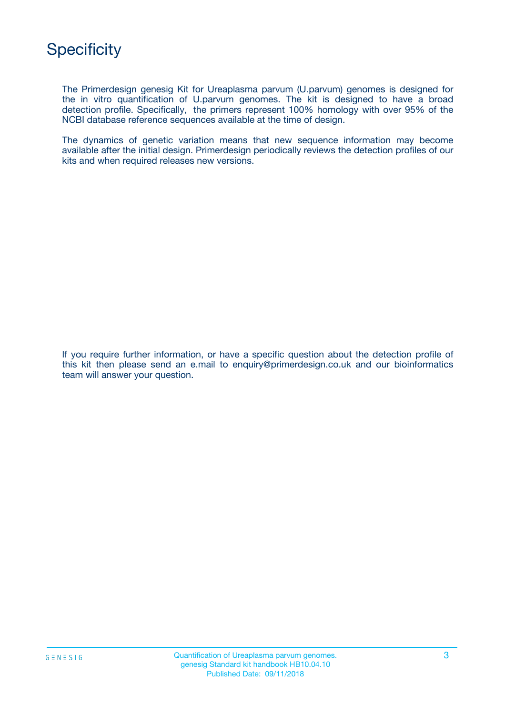

The Primerdesign genesig Kit for Ureaplasma parvum (U.parvum) genomes is designed for the in vitro quantification of U.parvum genomes. The kit is designed to have a broad detection profile. Specifically, the primers represent 100% homology with over 95% of the NCBI database reference sequences available at the time of design.

The dynamics of genetic variation means that new sequence information may become available after the initial design. Primerdesign periodically reviews the detection profiles of our kits and when required releases new versions.

If you require further information, or have a specific question about the detection profile of this kit then please send an e.mail to enquiry@primerdesign.co.uk and our bioinformatics team will answer your question.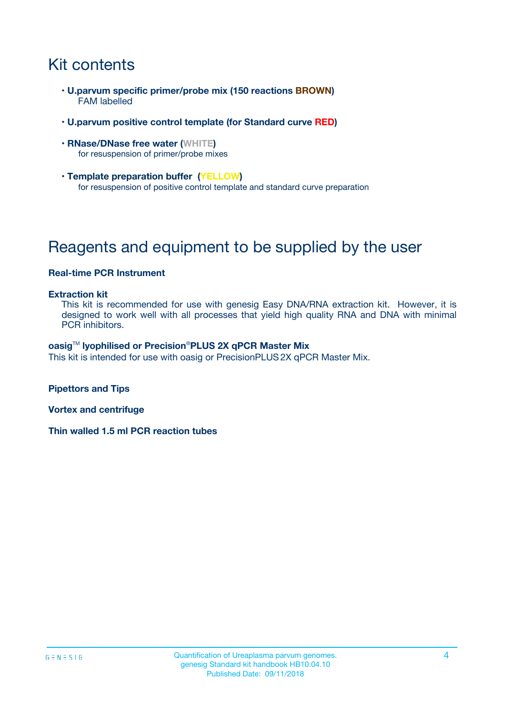# Kit contents

- **U.parvum specific primer/probe mix (150 reactions BROWN)** FAM labelled
- **U.parvum positive control template (for Standard curve RED)**
- **RNase/DNase free water (WHITE)** for resuspension of primer/probe mixes
- **Template preparation buffer (YELLOW)** for resuspension of positive control template and standard curve preparation

# Reagents and equipment to be supplied by the user

### **Real-time PCR Instrument**

#### **Extraction kit**

This kit is recommended for use with genesig Easy DNA/RNA extraction kit. However, it is designed to work well with all processes that yield high quality RNA and DNA with minimal PCR inhibitors.

#### **oasig**TM **lyophilised or Precision**®**PLUS 2X qPCR Master Mix**

This kit is intended for use with oasig or PrecisionPLUS2X qPCR Master Mix.

**Pipettors and Tips**

**Vortex and centrifuge**

**Thin walled 1.5 ml PCR reaction tubes**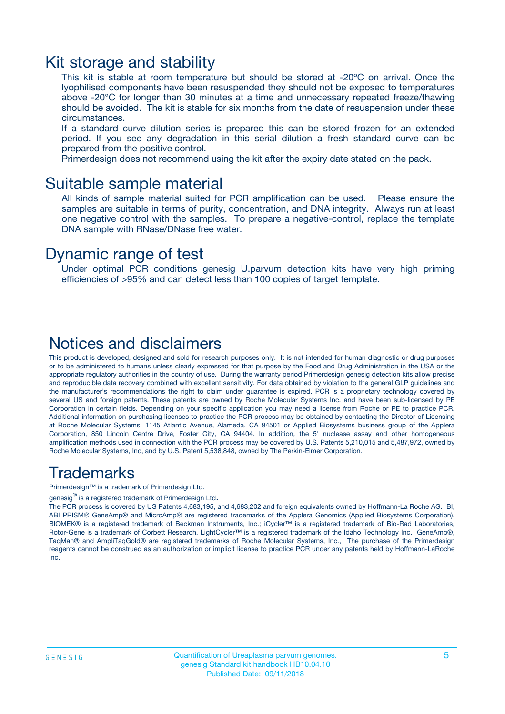### Kit storage and stability

This kit is stable at room temperature but should be stored at -20ºC on arrival. Once the lyophilised components have been resuspended they should not be exposed to temperatures above -20°C for longer than 30 minutes at a time and unnecessary repeated freeze/thawing should be avoided. The kit is stable for six months from the date of resuspension under these circumstances.

If a standard curve dilution series is prepared this can be stored frozen for an extended period. If you see any degradation in this serial dilution a fresh standard curve can be prepared from the positive control.

Primerdesign does not recommend using the kit after the expiry date stated on the pack.

### Suitable sample material

All kinds of sample material suited for PCR amplification can be used. Please ensure the samples are suitable in terms of purity, concentration, and DNA integrity. Always run at least one negative control with the samples. To prepare a negative-control, replace the template DNA sample with RNase/DNase free water.

### Dynamic range of test

Under optimal PCR conditions genesig U.parvum detection kits have very high priming efficiencies of >95% and can detect less than 100 copies of target template.

### Notices and disclaimers

This product is developed, designed and sold for research purposes only. It is not intended for human diagnostic or drug purposes or to be administered to humans unless clearly expressed for that purpose by the Food and Drug Administration in the USA or the appropriate regulatory authorities in the country of use. During the warranty period Primerdesign genesig detection kits allow precise and reproducible data recovery combined with excellent sensitivity. For data obtained by violation to the general GLP guidelines and the manufacturer's recommendations the right to claim under guarantee is expired. PCR is a proprietary technology covered by several US and foreign patents. These patents are owned by Roche Molecular Systems Inc. and have been sub-licensed by PE Corporation in certain fields. Depending on your specific application you may need a license from Roche or PE to practice PCR. Additional information on purchasing licenses to practice the PCR process may be obtained by contacting the Director of Licensing at Roche Molecular Systems, 1145 Atlantic Avenue, Alameda, CA 94501 or Applied Biosystems business group of the Applera Corporation, 850 Lincoln Centre Drive, Foster City, CA 94404. In addition, the 5' nuclease assay and other homogeneous amplification methods used in connection with the PCR process may be covered by U.S. Patents 5,210,015 and 5,487,972, owned by Roche Molecular Systems, Inc, and by U.S. Patent 5,538,848, owned by The Perkin-Elmer Corporation.

### Trademarks

Primerdesign™ is a trademark of Primerdesign Ltd.

genesig $^\circledR$  is a registered trademark of Primerdesign Ltd.

The PCR process is covered by US Patents 4,683,195, and 4,683,202 and foreign equivalents owned by Hoffmann-La Roche AG. BI, ABI PRISM® GeneAmp® and MicroAmp® are registered trademarks of the Applera Genomics (Applied Biosystems Corporation). BIOMEK® is a registered trademark of Beckman Instruments, Inc.; iCycler™ is a registered trademark of Bio-Rad Laboratories, Rotor-Gene is a trademark of Corbett Research. LightCycler™ is a registered trademark of the Idaho Technology Inc. GeneAmp®, TaqMan® and AmpliTaqGold® are registered trademarks of Roche Molecular Systems, Inc., The purchase of the Primerdesign reagents cannot be construed as an authorization or implicit license to practice PCR under any patents held by Hoffmann-LaRoche Inc.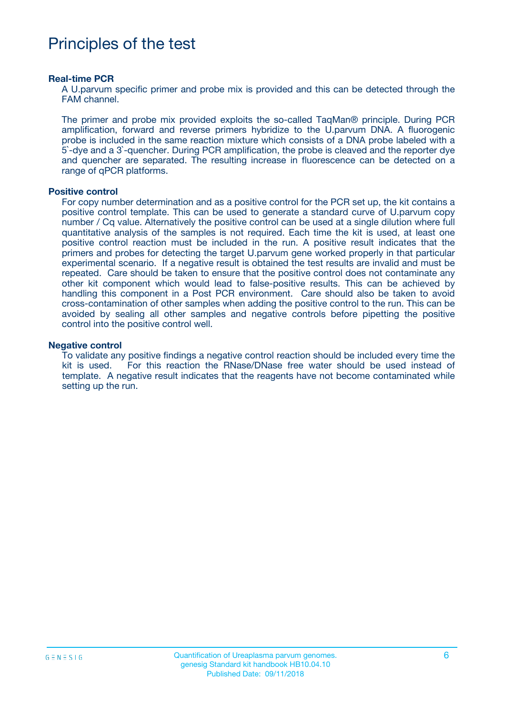# Principles of the test

#### **Real-time PCR**

A U.parvum specific primer and probe mix is provided and this can be detected through the FAM channel.

The primer and probe mix provided exploits the so-called TaqMan® principle. During PCR amplification, forward and reverse primers hybridize to the U.parvum DNA. A fluorogenic probe is included in the same reaction mixture which consists of a DNA probe labeled with a 5`-dye and a 3`-quencher. During PCR amplification, the probe is cleaved and the reporter dye and quencher are separated. The resulting increase in fluorescence can be detected on a range of qPCR platforms.

#### **Positive control**

For copy number determination and as a positive control for the PCR set up, the kit contains a positive control template. This can be used to generate a standard curve of U.parvum copy number / Cq value. Alternatively the positive control can be used at a single dilution where full quantitative analysis of the samples is not required. Each time the kit is used, at least one positive control reaction must be included in the run. A positive result indicates that the primers and probes for detecting the target U.parvum gene worked properly in that particular experimental scenario. If a negative result is obtained the test results are invalid and must be repeated. Care should be taken to ensure that the positive control does not contaminate any other kit component which would lead to false-positive results. This can be achieved by handling this component in a Post PCR environment. Care should also be taken to avoid cross-contamination of other samples when adding the positive control to the run. This can be avoided by sealing all other samples and negative controls before pipetting the positive control into the positive control well.

#### **Negative control**

To validate any positive findings a negative control reaction should be included every time the kit is used. For this reaction the RNase/DNase free water should be used instead of template. A negative result indicates that the reagents have not become contaminated while setting up the run.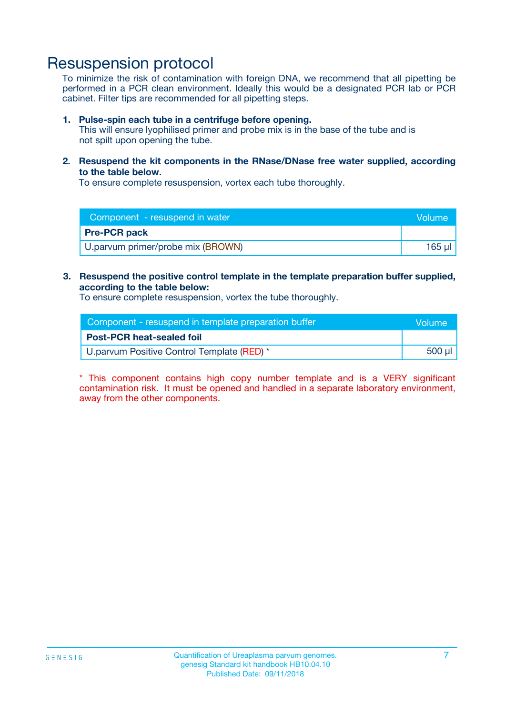# Resuspension protocol

To minimize the risk of contamination with foreign DNA, we recommend that all pipetting be performed in a PCR clean environment. Ideally this would be a designated PCR lab or PCR cabinet. Filter tips are recommended for all pipetting steps.

#### **1. Pulse-spin each tube in a centrifuge before opening.**

This will ensure lyophilised primer and probe mix is in the base of the tube and is not spilt upon opening the tube.

**2. Resuspend the kit components in the RNase/DNase free water supplied, according to the table below.**

To ensure complete resuspension, vortex each tube thoroughly.

| Component - resuspend in water    |        |
|-----------------------------------|--------|
| <b>Pre-PCR pack</b>               |        |
| U.parvum primer/probe mix (BROWN) | 165 µl |

### **3. Resuspend the positive control template in the template preparation buffer supplied, according to the table below:**

To ensure complete resuspension, vortex the tube thoroughly.

| Component - resuspend in template preparation buffer |        |  |
|------------------------------------------------------|--------|--|
| <b>Post-PCR heat-sealed foil</b>                     |        |  |
| U.parvum Positive Control Template (RED) *           | 500 µl |  |

\* This component contains high copy number template and is a VERY significant contamination risk. It must be opened and handled in a separate laboratory environment, away from the other components.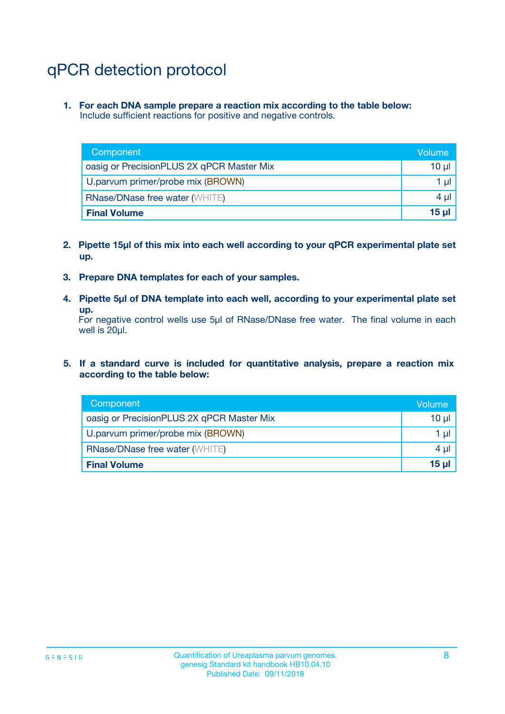# qPCR detection protocol

**1. For each DNA sample prepare a reaction mix according to the table below:** Include sufficient reactions for positive and negative controls.

| Component                                 | Volume           |
|-------------------------------------------|------------------|
| oasig or PrecisionPLUS 2X qPCR Master Mix | 10 $\mu$         |
| U.parvum primer/probe mix (BROWN)         | 1 $\mu$          |
| <b>RNase/DNase free water (WHITE)</b>     | $4 \mu$          |
| <b>Final Volume</b>                       | 15 <sub>ul</sub> |

- **2. Pipette 15µl of this mix into each well according to your qPCR experimental plate set up.**
- **3. Prepare DNA templates for each of your samples.**
- **4. Pipette 5µl of DNA template into each well, according to your experimental plate set up.**

For negative control wells use 5µl of RNase/DNase free water. The final volume in each well is 20µl.

**5. If a standard curve is included for quantitative analysis, prepare a reaction mix according to the table below:**

| Component                                 | Volume     |
|-------------------------------------------|------------|
| oasig or PrecisionPLUS 2X qPCR Master Mix | 10 µl      |
| U.parvum primer/probe mix (BROWN)         | 1 µI       |
| <b>RNase/DNase free water (WHITE)</b>     | $4 \mu$    |
| <b>Final Volume</b>                       | $15$ $\mu$ |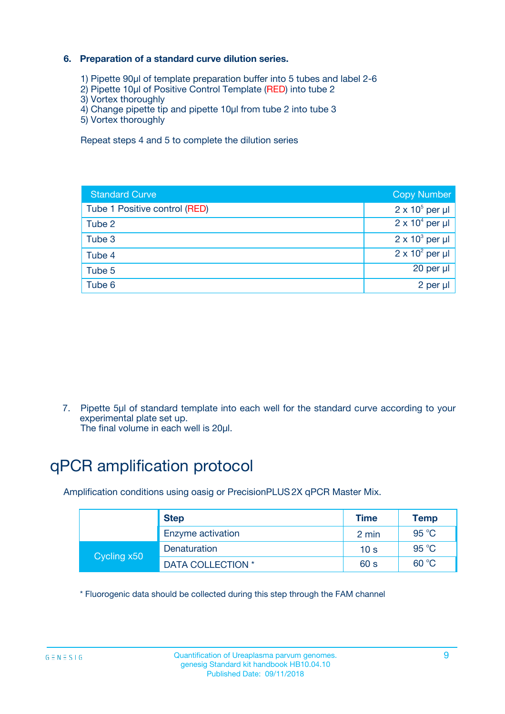### **6. Preparation of a standard curve dilution series.**

- 1) Pipette 90µl of template preparation buffer into 5 tubes and label 2-6
- 2) Pipette 10µl of Positive Control Template (RED) into tube 2
- 3) Vortex thoroughly
- 4) Change pipette tip and pipette 10µl from tube 2 into tube 3
- 5) Vortex thoroughly

Repeat steps 4 and 5 to complete the dilution series

| <b>Standard Curve</b>         | <b>Copy Number</b>     |
|-------------------------------|------------------------|
| Tube 1 Positive control (RED) | $2 \times 10^5$ per µl |
| Tube 2                        | $2 \times 10^4$ per µl |
| Tube 3                        | $2 \times 10^3$ per µl |
| Tube 4                        | $2 \times 10^2$ per µl |
| Tube 5                        | 20 per µl              |
| Tube 6                        | 2 per ul               |

7. Pipette 5µl of standard template into each well for the standard curve according to your experimental plate set up.

The final volume in each well is 20µl.

# qPCR amplification protocol

Amplification conditions using oasig or PrecisionPLUS2X qPCR Master Mix.

|             | <b>Step</b>       | <b>Time</b>     | Temp           |
|-------------|-------------------|-----------------|----------------|
|             | Enzyme activation | 2 min           | $95^{\circ}$ C |
| Cycling x50 | Denaturation      | 10 <sub>s</sub> | 95 $°C$        |
|             | DATA COLLECTION * | 60 s            | 60 °C          |

\* Fluorogenic data should be collected during this step through the FAM channel